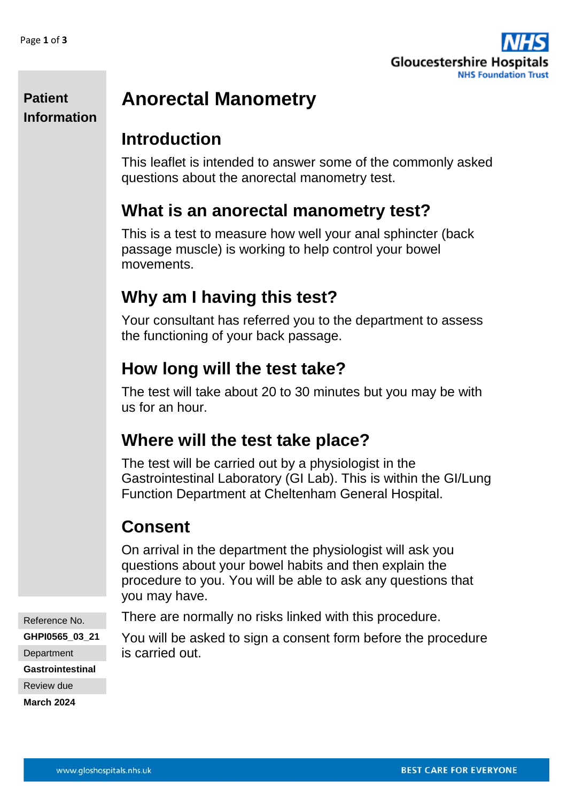

#### **Patient Information**

# **Anorectal Manometry**

## **Introduction**

This leaflet is intended to answer some of the commonly asked questions about the anorectal manometry test.

## **What is an anorectal manometry test?**

This is a test to measure how well your anal sphincter (back passage muscle) is working to help control your bowel movements.

# **Why am I having this test?**

Your consultant has referred you to the department to assess the functioning of your back passage.

## **How long will the test take?**

The test will take about 20 to 30 minutes but you may be with us for an hour.

## **Where will the test take place?**

The test will be carried out by a physiologist in the Gastrointestinal Laboratory (GI Lab). This is within the GI/Lung Function Department at Cheltenham General Hospital.

# **Consent**

On arrival in the department the physiologist will ask you questions about your bowel habits and then explain the procedure to you. You will be able to ask any questions that you may have.

There are normally no risks linked with this procedure.

You will be asked to sign a consent form before the procedure is carried out.

Reference No. **GHPI0565\_03\_21**

**Department** 

**Gastrointestinal**

Review due

**March 2024**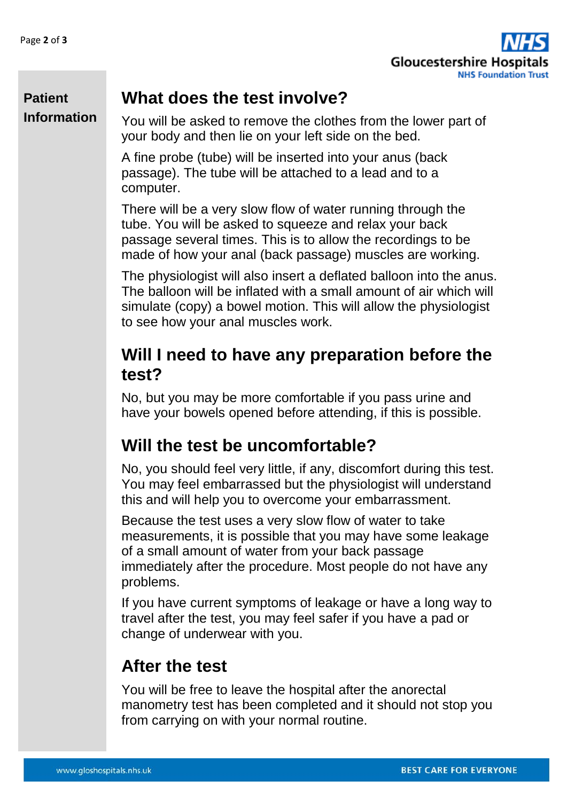

### **What does the test involve?**

**Patient Information**

You will be asked to remove the clothes from the lower part of your body and then lie on your left side on the bed.

A fine probe (tube) will be inserted into your anus (back passage). The tube will be attached to a lead and to a computer.

There will be a very slow flow of water running through the tube. You will be asked to squeeze and relax your back passage several times. This is to allow the recordings to be made of how your anal (back passage) muscles are working.

The physiologist will also insert a deflated balloon into the anus. The balloon will be inflated with a small amount of air which will simulate (copy) a bowel motion. This will allow the physiologist to see how your anal muscles work.

### **Will I need to have any preparation before the test?**

No, but you may be more comfortable if you pass urine and have your bowels opened before attending, if this is possible.

## **Will the test be uncomfortable?**

No, you should feel very little, if any, discomfort during this test. You may feel embarrassed but the physiologist will understand this and will help you to overcome your embarrassment.

Because the test uses a very slow flow of water to take measurements, it is possible that you may have some leakage of a small amount of water from your back passage immediately after the procedure. Most people do not have any problems.

If you have current symptoms of leakage or have a long way to travel after the test, you may feel safer if you have a pad or change of underwear with you.

### **After the test**

You will be free to leave the hospital after the anorectal manometry test has been completed and it should not stop you from carrying on with your normal routine.